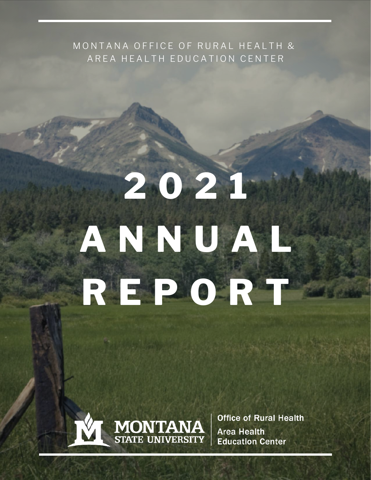#### MONTANA OFFICE OF RURAL HEALTH & AREA HEALTH EDUCATION CENTER

# **2 0 2 1 A N N U A L R E P O R T**



**Office of Rural Health Area Health Education Center**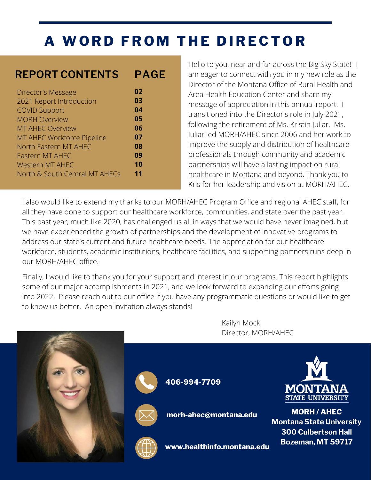### **A WO R D F R O M T H E D I R E C T O R**

#### **REPORT CONTENTS PAGE**

| Director's Message             | 02 |  |
|--------------------------------|----|--|
| 2021 Report Introduction       | 03 |  |
| <b>COVID Support</b>           | 04 |  |
| <b>MORH Overview</b>           | 05 |  |
| <b>MT AHEC Overview</b>        | 06 |  |
| MT AHEC Workforce Pipeline     | 07 |  |
| North Eastern MT AHEC          | 08 |  |
| Eastern MT AHEC                | 09 |  |
| <b>Western MT AHEC</b>         | 10 |  |
| North & South Central MT AHECs | 11 |  |
|                                |    |  |

Hello to you, near and far across the Big Sky State! I am eager to connect with you in my new role as the Director of the Montana Office of Rural Health and Area Health Education Center and share my message of appreciation in this annual report. I transitioned into the Director's role in July 2021, following the retirement of Ms. Kristin Juliar. Ms. Juliar led MORH/AHEC since 2006 and her work to improve the supply and distribution of healthcare professionals through community and academic partnerships will have a lasting impact on rural healthcare in Montana and beyond. Thank you to Kris for her leadership and vision at MORH/AHEC.

I also would like to extend my thanks to our MORH/AHEC Program Office and regional AHEC staff, for all they have done to support our healthcare workforce, communities, and state over the past year. This past year, much like 2020, has challenged us all in ways that we would have never imagined, but we have experienced the growth of partnerships and the development of innovative programs to address our state's current and future healthcare needs. The appreciation for our healthcare workforce, students, academic institutions, healthcare facilities, and supporting partners runs deep in our MORH/AHEC office.

Finally, I would like to thank you for your support and interest in our programs. This report highlights some of our major accomplishments in 2021, and we look forward to expanding our efforts going into 2022. Please reach out to our office if you have any programmatic questions or would like to get to know us better. An open invitation always stands!

> Kailyn Mock Director, MORH/AHEC

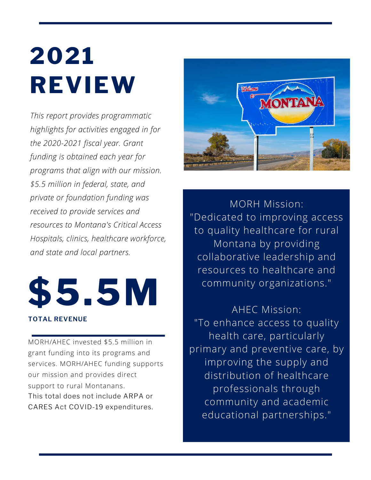# **2021 REVIEW**

*This report provides programmatic highlights for activities engaged in for the 2020-2021 fiscal year. Grant funding is obtained each year for programs that align with our mission. \$5.5 million in federal, state, and private or foundation funding was received to provide services and resources to Montana's Critical Access Hospitals, clinics, healthcare workforce, and state and local partners.*



MORH/AHEC invested \$5.5 million in grant funding into its programs and services. MORH/AHEC funding supports our mission and provides direct support to rural Montanans. This total does not include ARPA or CARES Act COVID-19 expenditures.



MORH Mission: "Dedicated to improving access to quality healthcare for rural Montana by providing collaborative leadership and resources to healthcare and community organizations."

AHEC Mission: "To enhance access to quality health care, particularly primary and preventive care, by improving the supply and distribution of healthcare professionals through community and academic educational partnerships."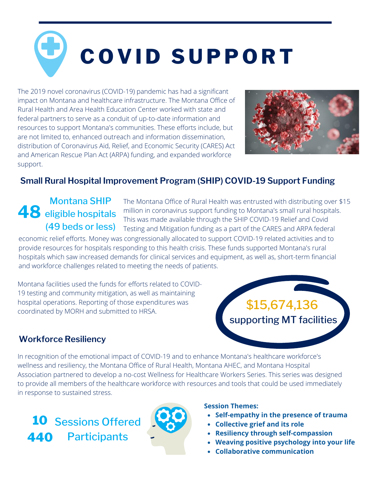# **C O V I D S U P P O R T**

The 2019 novel coronavirus (COVID-19) pandemic has had a significant impact on Montana and healthcare infrastructure. The Montana Office of Rural Health and Area Health Education Center worked with state and federal partners to serve as a conduit of up-to-date information and resources to support Montana's communities. These efforts include, but are not limited to, enhanced outreach and information dissemination, distribution of Coronavirus Aid, Relief, and Economic Security (CARES) Act and American Rescue Plan Act (ARPA) funding, and expanded workforce support.



#### **Small Rural Hospital Improvement Program (SHIP) COVID-19 Support Funding**

#### **48** eligible hospitals Montana SHIP (49 beds or less)

The Montana Office of Rural Health was entrusted with distributing over \$15 million in coronavirus support funding to Montana's small rural hospitals. This was made available through the SHIP COVID-19 Relief and Covid Testing and Mitigation funding as a part of the CARES and ARPA federal

economic relief efforts. Money was congressionally allocated to support COVID-19 related activities and to provide resources for hospitals responding to this health crisis. These funds supported Montana's rural hospitals which saw increased demands for clinical services and equipment, as well as, short-term financial and workforce challenges related to meeting the needs of patients.

Montana facilities used the funds for efforts related to COVID-19 testing and community mitigation, as well as maintaining hospital operations. Reporting of those expenditures was coordinated by MORH and submitted to HRSA.

### \$15,674,136 supporting MT facilities

#### **Workforce Resiliency**

In recognition of the emotional impact of COVID-19 and to enhance Montana's healthcare workforce's wellness and resiliency, the Montana Office of Rural Health, Montana AHEC, and Montana Hospital Association partnered to develop a no-cost Wellness for Healthcare Workers Series. This series was designed to provide all members of the healthcare workforce with resources and tools that could be used immediately in response to sustained stress.

**10** Sessions Offered **440 Participants** 



#### **Session Themes:**

- **Self-empathy in the presence of trauma**
- **Collective grief and its role**
- **Resiliency through self-compassion**
- **Weaving positive psychology into your life**
- **Collaborative communication**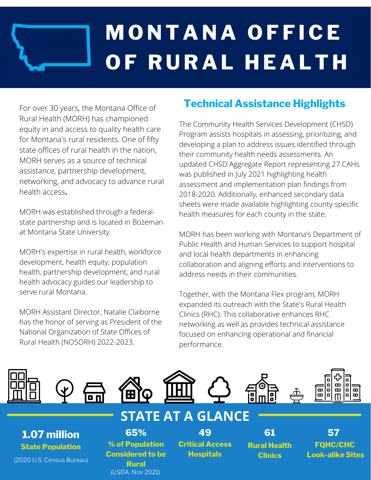# **M O N T A N A O F F I C E O F R U R A L H E A LT H**

For over 30 years, the Montana Office of Rural Health (MORH) has championed equity in and access to quality health care for Montana's rural residents. One of fifty state offices of rural health in the nation, MORH serves as a source of technical assistance, partnership development, networking, and advocacy to advance rural health access**.**

MORH was established through a federalstate partnership and is located in Bozeman at Montana State University.

MORH's expertise in rural health, workforce development, health equity, population health, partnership development, and rural health advocacy guides our leadership to serve rural Montana.

MORH Assistant Director, Natalie Claiborne has the honor of serving as President of the National Organization of State Offices of Rural Health (NOSORH) 2022-2023.

#### **Technical Assistance Highlights**

The Community Health Services Development (CHSD) Program assists hospitals in assessing, prioritizing, and developing a plan to address issues identified through their community health needs assessments. An updated CHSD [Aggregate Report](https://drive.google.com/file/d/1_T5LM2634fRlVfxMNRScAuyJJ5QyI3Cb/view) representing 27 CAHs was published in July 2021 highlighting health assessment and implementation plan findings from 2018-2020. Additionally, enhanced s[econdary data](http://healthinfo.montana.edu/morh/chsd/secondary-data.html) [sheets](http://healthinfo.montana.edu/morh/chsd/secondary-data.html) were made available highlighting county-specific health measures for each county in the state.

MORH has been working with Montana's Department of Public Health and Human Services to support hospital and local health departments in enhancing collaboration and aligning efforts and interventions to address needs in their communities.

Together, with the Montana Flex program, MORH expanded its outreach with the State's Rural Health Clinics (RHC). This collaborative enhances RHC networking as well as provides technical assistance focused on enhancing operational and financial performance.

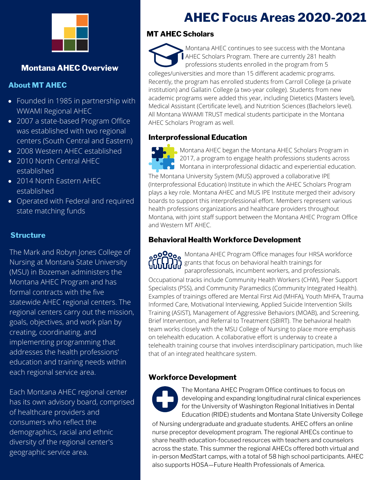

#### **Montana AHEC Overview**

#### **About MT AHEC**

- Founded in 1985 in partnership with WWAMI Regional AHEC
- 2007 a state-based Program Office was established with two regional centers (South Central and Eastern)
- 2008 Western AHEC established
- 2010 North Central AHEC established
- 2014 North Eastern AHEC established
- Operated with Federal and required state matching funds

#### **Structure**

The Mark and Robyn Jones College of Nursing at Montana State University (MSU) in Bozeman administers the Montana AHEC Program and has formal contracts with the five statewide AHEC regional centers. The regional centers carry out the mission, goals, objectives, and work plan by creating, coordinating, and implementing programming that addresses the health professions' education and training needs within each regional service area.

Each Montana AHEC regional center has its own advisory board, comprised of healthcare providers and consumers who reflect the demographics, racial and ethnic diversity of the regional center's geographic service area.

### **AHEC Focus Areas 2020-2021**

#### **MT AHEC Scholars**

colleges/universities and more than 15 different academic programs. Recently, the program has enrolled students from Carroll College (a private institution) and Gallatin College (a two-year college). Students from new academic programs were added this year, including Dietetics (Masters level), Medical Assistant (Certificate level), and Nutrition Sciences (Bachelors level). All Montana WWAMI TRUST medical students participate in the Montana AHEC Scholars Program as well. Montana AHEC continues to see success with the Montana AHEC Scholars Program. There are currently 281 health professions students enrolled in the program from 5

#### **Interprofessional Education**



Montana AHEC began the Montana AHEC Scholars Program in 2017, a program to engage health professions students across **Montana in interprofessional didactic and experiential education.** 

The Montana University System (MUS) approved a collaborative IPE (Interprofessional Education) Institute in which the AHEC Scholars Program plays a key role. Montana AHEC and MUS IPE Institute merged their advisory boards to support this interprofessional effort. Members represent various health professions organizations and healthcare providers throughout Montana, with joint staff support between the Montana AHEC Program Office and Western MT AHEC.

#### **Behavioral Health Workforce Development**

Occupational tracks include Community Health Workers (CHW), Peer Support Specialists (PSS), and Community Paramedics (Community Integrated Health). Examples of trainings offered are Mental First Aid (MHFA), Youth MHFA, Trauma Informed Care, Motivational Interviewing, Applied Suicide Intervention Skills Training (ASIST), Management of Aggressive Behaviors (MOAB), and Screening, Brief Intervention, and Referral to Treatment (SBIRT). The behavioral health team works closely with the MSU College of Nursing to place more emphasis on telehealth education. A collaborative effort is underway to create a telehealth training course that involves interdisciplinary participation, much like that of an integrated healthcare system. Montana AHEC Program Office manages four HRSA workforce grants that focus on behavioral health trainings for paraprofessionals, incumbent workers, and professionals.

#### **Workforce Development**



The Montana AHEC Program Office continues to focus on developing and expanding longitudinal rural clinical experiences for the University of Washington Regional Initiatives in Dental Education (RIDE) students and Montana State University College

of Nursing undergraduate and graduate students. AHEC offers an online nurse preceptor development program. The regional AHECs continue to share health education-focused resources with teachers and counselors across the state. This summer the regional AHECs offered both virtual and in-person MedStart camps, with a total of 58 high school participants. AHEC also supports HOSA—Future Health Professionals of America.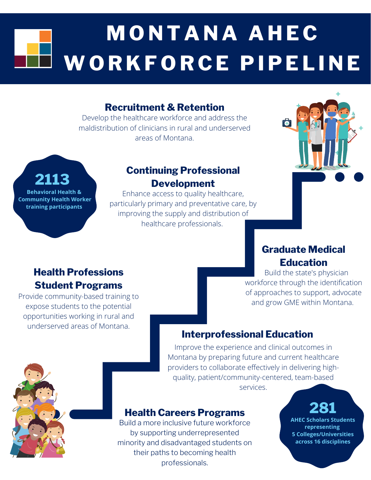## **M O N T A N A A H E C WO R K F O R C E P I P E L I N E**

#### **Recruitment & Retention**

Develop the healthcare workforce and address the maldistribution of clinicians in rural and underserved areas of Montana.

#### **Continuing Professional Development**

Enhance access to quality healthcare, particularly primary and preventative care, by improving the supply and distribution of healthcare professionals.



#### **Graduate Medical Education**

 Build the state's physician workforce through the identification of approaches to support, advocate and grow GME within Montana.

#### **Interprofessional Education**

Improve the experience and clinical outcomes in Montana by preparing future and current healthcare providers to collaborate effectively in delivering highquality, patient/community-centered, team-based services.

#### **Health Careers Programs**

Build a more inclusive future workforce by supporting underrepresented minority and disadvantaged students on their paths to becoming health professionals.

### **281**

**AHEC Scholars Students representing 5 Colleges/Universities across 16 disciplines**

#### **Health Professions Student Programs**

**Behavioral Health & Community Health Worker training participants**

**2113**

Provide community-based training to expose students to the potential opportunities working in rural and underserved areas of Montana.

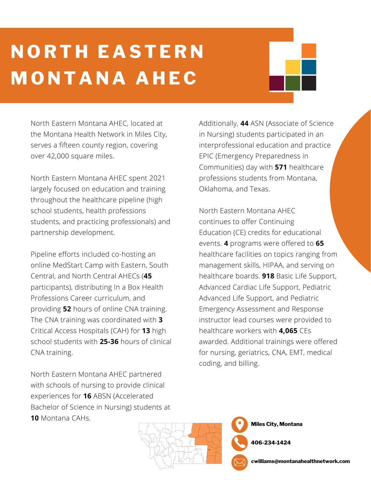### **N O R T H E A STE R N M O N T A N A A H E C**

North Eastern Montana AHEC, located at the Montana Health Network in Miles City, serves a fifteen county region, covering over 42,000 square miles.

North Eastern Montana AHEC spent 2021 largely focused on education and training throughout the healthcare pipeline (high school students, health professions students, and practicing professionals) and partnership development.

Pipeline efforts included co-hosting an online MedStart Camp with Eastern, South Central, and North Central AHECs (**45** participants), distributing In a Box Health Professions Career curriculum, and providing **52** hours of online CNA training. The CNA training was coordinated with **3** Critical Access Hospitals (CAH) for **13** high school students with **25-36** hours of clinical CNA training.

North Eastern Montana AHEC partnered with schools of nursing to provide clinical experiences for **16** ABSN (Accelerated Bachelor of Science in Nursing) students at **10** Montana CAHs.

Additionally, **44** ASN (Associate of Science in Nursing) students participated in an interprofessional education and practice EPIC (Emergency Preparedness in Communities) day with **571** healthcare professions students from Montana, Oklahoma, and Texas.

North Eastern Montana AHEC continues to offer Continuing Education (CE) credits for educational events. **4** programs were offered to **65** healthcare facilities on topics ranging from management skills, HIPAA, and serving on healthcare boards. **918** Basic Life Support, Advanced Cardiac Life Support, Pediatric Advanced Life Support, and Pediatric Emergency Assessment and Response instructor lead courses were provided to healthcare workers with **4,065** CEs awarded. Additional trainings were offered for nursing, geriatrics, CNA, EMT, medical coding, and billing.

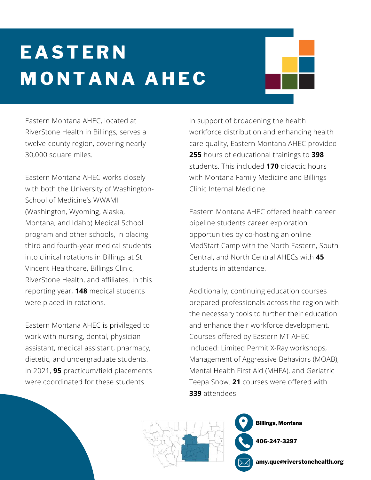## **E A STE R N M O N T A N A A H E C**

Eastern Montana AHEC, located at RiverStone Health in Billings, serves a twelve-county region, covering nearly 30,000 square miles.

Eastern Montana AHEC works closely with both the University of Washington-School of Medicine's WWAMI (Washington, Wyoming, Alaska, Montana, and Idaho) Medical School program and other schools, in placing third and fourth-year medical students into clinical rotations in Billings at St. Vincent Healthcare, Billings Clinic, RiverStone Health, and affiliates. In this reporting year, **148** medical students were placed in rotations.

Eastern Montana AHEC is privileged to work with nursing, dental, physician assistant, medical assistant, pharmacy, dietetic, and undergraduate students. In 2021, **95** practicum/field placements were coordinated for these students.

In support of broadening the health workforce distribution and enhancing health care quality, Eastern Montana AHEC provided **255** hours of educational trainings to **398** students. This included **170** didactic hours with Montana Family Medicine and Billings Clinic Internal Medicine.

Eastern Montana AHEC offered health career pipeline students career exploration opportunities by co-hosting an online MedStart Camp with the North Eastern, South Central, and North Central AHECs with **45** students in attendance.

Additionally, continuing education courses prepared professionals across the region with the necessary tools to further their education and enhance their workforce development. Courses offered by Eastern MT AHEC included: Limited Permit X-Ray workshops, Management of Aggressive Behaviors (MOAB), Mental Health First Aid (MHFA), and Geriatric Teepa Snow. **21** courses were offered with **339** attendees.



**Billings, Montana**

**406-247-3297**

**amy.que@riverstonehealth.org**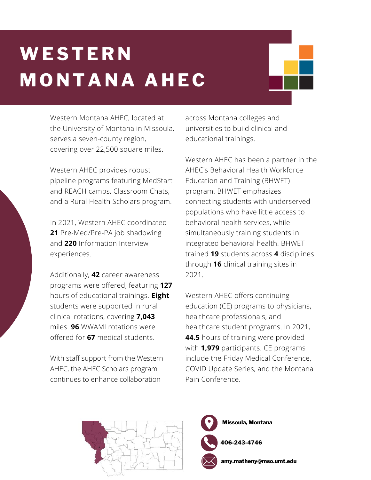## **WESTE R N M O N T A N A A H E C**

Western Montana AHEC, located at the University of Montana in Missoula, serves a seven-county region, covering over 22,500 square miles.

Western AHEC provides robust pipeline programs featuring MedStart and REACH camps, Classroom Chats, and a Rural Health Scholars program.

In 2021, Western AHEC coordinated **21** Pre-Med/Pre-PA job shadowing and **220** Information Interview experiences.

Additionally, **42** career awareness programs were offered, featuring **127** hours of educational trainings. **Eight** students were supported in rural clinical rotations, covering **7,043** miles. **96** WWAMI rotations were offered for **67** medical students.

With staff support from the Western AHEC, the AHEC Scholars program continues to enhance collaboration

across Montana colleges and universities to build clinical and educational trainings.

Western AHEC has been a partner in the AHEC's Behavioral Health Workforce Education and Training (BHWET) program. BHWET emphasizes connecting students with underserved populations who have little access to behavioral health services, while simultaneously training students in integrated behavioral health. BHWET trained **19** students across **4** disciplines through **16** clinical training sites in 2021.

Western AHEC offers continuing education (CE) programs to physicians, healthcare professionals, and healthcare student programs. In 2021, **44.5** hours of training were provided with **1,979** participants. CE programs include the Friday Medical Conference, COVID Update Series, and the Montana Pain Conference.